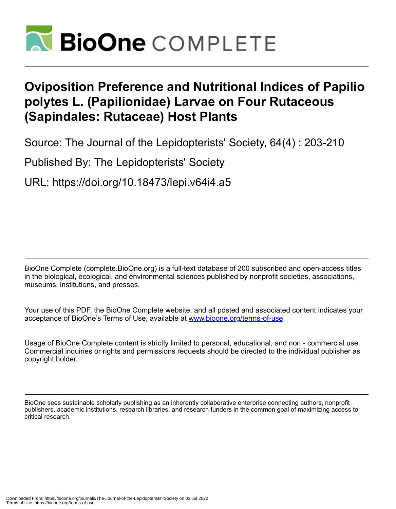

# **Oviposition Preference and Nutritional Indices of Papilio polytes L. (Papilionidae) Larvae on Four Rutaceous (Sapindales: Rutaceae) Host Plants**

Source: The Journal of the Lepidopterists' Society, 64(4) : 203-210

Published By: The Lepidopterists' Society

URL: https://doi.org/10.18473/lepi.v64i4.a5

BioOne Complete (complete.BioOne.org) is a full-text database of 200 subscribed and open-access titles in the biological, ecological, and environmental sciences published by nonprofit societies, associations, museums, institutions, and presses.

Your use of this PDF, the BioOne Complete website, and all posted and associated content indicates your acceptance of BioOne's Terms of Use, available at www.bioone.org/terms-of-use.

Usage of BioOne Complete content is strictly limited to personal, educational, and non - commercial use. Commercial inquiries or rights and permissions requests should be directed to the individual publisher as copyright holder.

BioOne sees sustainable scholarly publishing as an inherently collaborative enterprise connecting authors, nonprofit publishers, academic institutions, research libraries, and research funders in the common goal of maximizing access to critical research.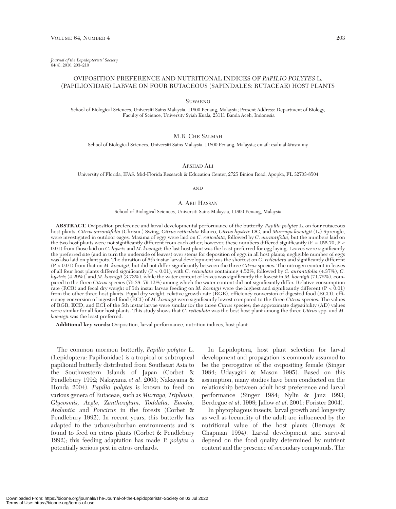*Journal of the Lepidopterists' Society* 64(4), 2010, 203–210

## OVIPOSITION PREFERENCE AND NUTRITIONAL INDICES OF *PAPILIO POLYTES* L. (PAPILIONIDAE) LARVAE ON FOUR RUTACEOUS (SAPINDALES: RUTACEAE) HOST PLANTS

SUWARNO

School of Biological Sciences, Universiti Sains Malaysia, 11800 Penang, Malaysia; Present Address: Department of Biology, Faculty of Science, University Syiah Kuala, 23111 Banda Aceh, Indonesia

## M.R. CHE SALMAH

School of Biological Sciences, Universiti Sains Malaysia, 11800 Penang, Malaysia; email: csalmah@usm.my

ARSHAD ALI

University of Florida, IFAS. Mid-Florida Research & Education Center, 2725 Binion Road, Apopka, FL 32703-8504

AND

## A. ABU HASSAN

#### School of Biological Sciences, Universiti Sains Malaysia, 11800 Penang, Malaysia

**ABSTRACT.** Oviposition preference and larval developmental performance of the butterfly, *Papilio polytes* L. on four rutaceous host plants, *Citrus aurantifolia* (Chrism.) Swing, *Citrus reticulata* Blanco, *Citrus hystrix* DC, and *Murraya koenigii* (L.) Sprengle, were investigated in outdoor cages. Maxima of eggs were laid on *C. reticulata*, followed by *C. aurantifolia*, but the numbers laid on the two host plants were not significantly different from each other; however, these numbers differed significantly ( $F = 155.70$ ;  $P <$ 0.01) from those laid on *C. hysrix* and *M. koenigii*; the last host plant was the least preferred for egg laying. Leaves were significantly the preferred site (and in turn the underside of leaves) over stems for deposition of eggs in all host plants; negligible number of eggs was also laid on plant pots. The duration of 5th instar larval development was the shortest on *C. reticulata* and significantly different (P < 0.01) from that on *M. koenigii*, but did not differ significantly between the three *Citrus* species. The nitrogen content in leaves of all four host plants differed significantly (P < 0.01), with *C. reticulata* containing 4.52%, followed by *C. aurantifolia* (4.37%), *C. hystrix* (4.29%), and *M. koenigii* (3.73%), while the water content of leaves was significantly the lowest in *M. koenigii* (71.72%), compared to the three *Citrus* species (76.38–79.12%) among which the water content did not significantly differ. Relative consumption rate (RCR) and fecal dry weight of 5th instar larvae feeding on *M. koenigii* were the highest and significantly different (P < 0.01) from the other three host plants. Pupal dry weight, relative growth rate (RGR), efficiency conversion of digested food (ECD), efficiency conversion of ingested food (ECI) of *M. koenigii* were significantly lowest compared to the three *Citrus* species. The values of RGR, ECD, and ECI of the 5th instar larvae were similar for the three *Citrus* species; the approximate digestibility (AD) values were similar for all four host plants. This study shows that *C. reticulata* was the best host plant among the three *Citrus* spp. and *M. koenigii* was the least preferred.

**Additional key words:** Oviposition, larval performance, nutrition indices, host plant

The common mormon butterfly, *Papilio polytes* L. (Lepidoptera: Papilionidae) is a tropical or subtropical papilionid butterfly distributed from Southeast Asia to the Southwestern Islands of Japan (Corbet & Pendlebury 1992; Nakayama *et al*. 2003; Nakayama & Honda 2004). *Papilio polytes* is known to feed on various genera of Rutaceae, such as *Murraya, Triphasia, Glycosmis, Aegle, Zanthoxylum, Toddalia, Euodia, Atalantia* and *Poncirus* in the forests (Corbet & Pendlebury 1992). In recent years, this butterfly has adapted to the urban/suburban environments and is found to feed on citrus plants (Corbet & Pendlebury 1992); this feeding adaptation has made P. *polytes* a potentially serious pest in citrus orchards.

In Lepidoptera, host plant selection for larval development and propagation is commonly assumed to be the prerogative of the ovipositing female (Singer 1984; Udayagiri & Mason 1995). Based on this assumption, many studies have been conducted on the relationship between adult host preference and larval performance (Singer 1984; Nylin & Janz 1993; Berdegue *et al*. 1998; Jallow *et al*. 2001; Forister 2004).

In phytophagous insects, larval growth and longevity as well as fecundity of the adult are influenced by the nutritional value of the host plants (Bernays & Chapman 1994). Larval development and survival depend on the food quality determined by nutrient content and the presence of secondary compounds. The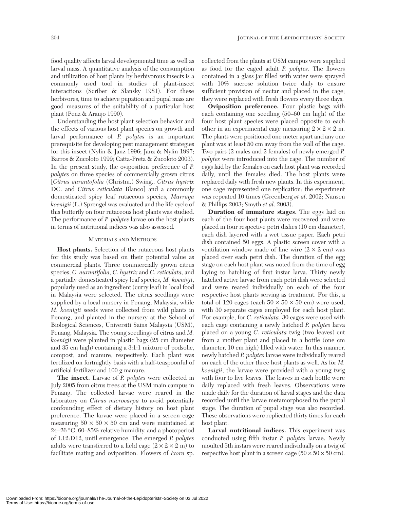food quality affects larval developmental time as well as larval mass. A quantitative analysis of the consumption and utilization of host plants by herbivorous insects is a commonly used tool in studies of plant-insect interactions (Scriber & Slansky 1981). For these herbivores, time to achieve pupation and pupal mass are good measures of the suitability of a particular host plant (Penz & Araujo 1990).

Understanding the host plant selection behavior and the effects of various host plant species on growth and larval performance of *P. polytes* is an important prerequisite for developing pest management strategies for this insect (Nylin & Janz 1996; Janz & Nylin 1997; Barros & Zucoloto 1999; Catta-Preta & Zucoloto 2003). In the present study, the oviposition preference of *P. polytes* on three species of commercially grown citrus [*Citrus aurantofolia* (Christm.) Swing., *Citrus hystrix* DC. and *Citrus reticulata* Blanco] and a commonly domesticated spicy leaf rutaceous species, *Murraya koenigii* (L.) Sprengel was evaluated and the life cycle of this butterfly on four rutaceous host plants was studied. The performance of *P. polytes* larvae on the host plants in terms of nutritional indices was also assessed.

## MATERIALS AND METHODS

**Host plants.** Selection of the rutaceous host plants for this study was based on their potential value as commercial plants. Three commercially grown citrus species, *C. aurantifolia*, *C. hystrix* and *C. reticulata*, and a partially domesticated spicy leaf species, *M. koenigii*, popularly used as an ingredient (curry leaf) in local food in Malaysia were selected. The citrus seedlings were supplied by a local nursery in Penang, Malaysia, while *M. koenigii* seeds were collected from wild plants in Penang, and planted in the nursery at the School of Biological Sciences, Universiti Sains Malaysia (USM), Penang, Malaysia. The young seedlings of citrus and *M. koenigii* were planted in plastic bags (25 cm diameter and 35 cm high) containing a 3:1:1 mixture of podsolic, compost, and manure, respectively. Each plant was fertilized on fortnightly basis with a half-teaspoonful of artificial fertilizer and 100 g manure.

**The insect.** Larvae of *P. polytes* were collected in July 2005 from citrus trees at the USM main campus in Penang. The collected larvae were reared in the laboratory on *Citrus microcarpa* to avoid potentially confounding effect of dietary history on host plant preference. The larvae were placed in a screen cage measuring  $50 \times 50 \times 50$  cm and were maintained at 24–26 °C, 60–85% relative humidity, and a photoperiod of L12:D12, until emergence. The emerged *P. polytes* adults were transferred to a field cage  $(2 \times 2 \times 2 \text{ m})$  to facilitate mating and oviposition. Flowers of *Ixora* sp.

collected from the plants at USM campus were supplied as food for the caged adult *P. polytes*. The flowers contained in a glass jar filled with water were sprayed with 10% sucrose solution twice daily to ensure sufficient provision of nectar and placed in the cage; they were replaced with fresh flowers every three days.

**Oviposition preference.** Four plastic bags with each containing one seedling (50–60 cm high) of the four host plant species were placed opposite to each other in an experimental cage measuring  $2 \times 2 \times 2$  m. The plants were positioned one meter apart and any one plant was at least 50 cm away from the wall of the cage. Two pairs (2 males and 2 females) of newly emerged *P. polytes* were introduced into the cage. The number of eggs laid by the females on each host plant was recorded daily, until the females died. The host plants were replaced daily with fresh new plants. In this experiment, one cage represented one replication; the experiment was repeated 10 times (Greenberg *et al*. 2002; Nansen & Phillips 2003; Smyth *et al*. 2003).

**Duration of immature stages.** The eggs laid on each of the four host plants were recovered and were placed in four respective petri dishes (10 cm diameter), each dish layered with a wet tissue paper. Each petri dish contained 50 eggs. A plastic screen cover with a ventilation window made of fine wire  $(2 \times 2 \text{ cm})$  was placed over each petri dish. The duration of the egg stage on each host plant was noted from the time of egg laying to hatching of first instar larva. Thirty newly hatched active larvae from each petri dish were selected and were reared individually on each of the four respective host plants serving as treatment. For this, a total of 120 cages (each  $50 \times 50 \times 50$  cm) were used, with 30 separate cages employed for each host plant. For example, for *C. reticulata*, 30 cages were used with each cage containing a newly hatched *P. polytes* larva placed on a young *C. reticulata* twig (two leaves) cut from a mother plant and placed in a bottle (one cm diameter, 10 cm high) filled with water. In this manner, newly hatched *P. polytes* larvae were individually reared on each of the other three host plants as well. As for *M. koenigii*, the larvae were provided with a young twig with four to five leaves. The leaves in each bottle were daily replaced with fresh leaves. Observations were made daily for the duration of larval stages and the data recorded until the larvae metamorphosed to the pupal stage. The duration of pupal stage was also recorded. These observations were replicated thirty times for each host plant.

**Larval nutritional indices.** This experiment was conducted using fifth instar *P. polytes* larvae. Newly moulted 5th instars were reared individually on a twig of respective host plant in a screen cage  $(50 \times 50 \times 50 \text{ cm})$ .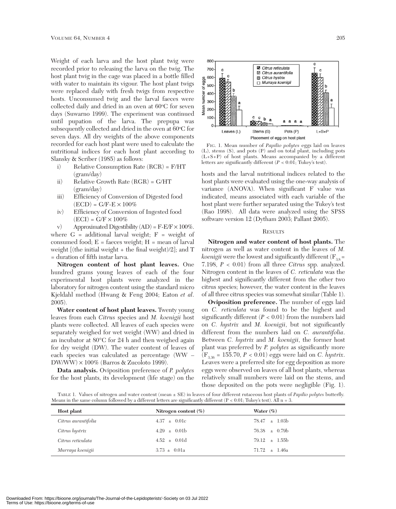Weight of each larva and the host plant twig were recorded prior to releasing the larva on the twig. The host plant twig in the cage was placed in a bottle filled with water to maintain its vigour. The host plant twigs were replaced daily with fresh twigs from respective hosts. Unconsumed twig and the larval faeces were collected daily and dried in an oven at 60°C for seven days (Suwarno 1999). The experiment was continued until pupation of the larva. The prepupa was subsequently collected and dried in the oven at 60°C for seven days. All dry weights of the above components recorded for each host plant were used to calculate the nutritional indices for each host plant according to Slansky & Scriber (1985) as follows:

- i) Relative Consumption Rate (RCR) = F/HT (gram/day)
- ii) Relative Growth Rate (RGR) = G/HT (gram/day)
- iii) Efficiency of Conversion of Digested food  $\left( \text{ECD} \right) = \text{G/F-E} \times 100\%$
- iv) Efficiency of Conversion of Ingested food  $(ECI) = G/F \times 100\%$
- v) Approximated Digestibility  $(AD) = F-E/F \times 100\%$ .

where  $G =$  additional larval weight;  $F =$  weight of consumed food; E = faeces weight; H = mean of larval weight  $[$  (the initial weight + the final weight)/2]; and T = duration of fifth instar larva.

**Nitrogen content of host plant leaves.** One hundred grams young leaves of each of the four experimental host plants were analyzed in the laboratory for nitrogen content using the standard micro Kjeldahl method (Hwang & Feng 2004; Eaton *et al*. 2005).

**Water content of host plant leaves.** Twenty young leaves from each *Citrus* species and *M. koenigii* host plants were collected. All leaves of each species were separately weighed for wet weight (WW) and dried in an incubator at 80°C for 24 h and then weighed again for dry weight (DW). The water content of leaves of each species was calculated as percentage (WW –  $DW/WW$ )  $\times$  100% (Barros & Zucoloto 1999).

**Data analysis.** Oviposition preference of *P. polytes* for the host plants, its development (life stage) on the



FIG. 1. Mean number of *Papilio polytes* eggs laid on leaves (L), stems (S), and pots (P) and on total plant, including pots (L+S+P) of host plants. Means accompanied by a different letters are significantly different (*P* < 0.01; Tukey's test).

hosts and the larval nutritional indices related to the host plants were evaluated using the one-way analysis of variance (ANOVA). When significant F value was indicated, means associated with each variable of the host plant were further separated using the Tukey's test (Rao 1998). All data were analyzed using the SPSS software version 12 (Dytham 2003; Pallant 2005).

## **RESULTS**

**Nitrogen and water content of host plants.** The nitrogen as well as water content in the leaves of *M. koenigii* were the lowest and significantly different  $(F_{3,8} =$ 7.198, *P* < 0.01) from all three *Citrus* spp. analyzed. Nitrogen content in the leaves of *C. reticulata* was the highest and significantly different from the other two citrus species; however, the water content in the leaves of all three citrus species was somewhat similar (Table 1).

**Oviposition preference.** The number of eggs laid on *C. reticulata* was found to be the highest and significantly different  $(P < 0.01)$  from the numbers laid on *C. hystrix* and *M. koenigii*, but not significantly different from the numbers laid on *C. aurantifolia*. Between *C. hystrix* and *M. koenigii*, the former host plant was preferred by *P. polytes* as significantly more  $(F_{3,36} = 155.70, P < 0.01)$  eggs were laid on *C. hystrix*. Leaves were a preferred site for egg deposition as more eggs were observed on leaves of all host plants, whereas relatively small numbers were laid on the stems, and those deposited on the pots were negligible (Fig. 1).

TABLE 1. Values of nitrogen and water content (mean ± SE) in leaves of four different rutaceous host plants of *Papilio polytes* butterfly. Means in the same column followed by a different letters are significantly different  $(P < 0.01$ ; Tukey's test). All  $n = 3$ .

| Host plant          | Nitrogen content $(\%)$ | Water $(\% )$     |  |
|---------------------|-------------------------|-------------------|--|
| Citrus aurantifolia | $4.37 \pm 0.01c$        | $78.47 \pm 1.03b$ |  |
| Citrus hystrix      | $4.29 \pm 0.01b$        | $76.38 \pm 0.79b$ |  |
| Citrus reticulata   | $4.52 \pm 0.01d$        | $79.12 \pm 1.55b$ |  |
| Murraya koenigii    | $3.73 \pm 0.01a$        | $71.72 \pm 1.46a$ |  |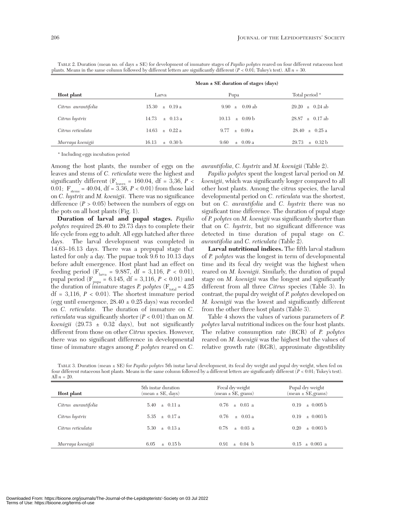| ) lants. Means in the same column followed by different letters are significantly different ( $P < 0.01$ ; Tukey's test). All $n = 30$ . |                       |                                         |                            |  |
|------------------------------------------------------------------------------------------------------------------------------------------|-----------------------|-----------------------------------------|----------------------------|--|
|                                                                                                                                          |                       | Mean $\pm$ SE duration of stages (days) |                            |  |
| Host plant                                                                                                                               | Larva                 | Pupa                                    | Total period <sup>•</sup>  |  |
| Citrus aurantifolia                                                                                                                      | $15.30 + 0.19a$       | 0.09 ab<br>$9.90 +$                     | $+$ 0.24 ab<br>29.20       |  |
| Citrus hystrix                                                                                                                           | 14.73<br>$+$ 0.13 a   | $+$ 0.09 b<br>10.13                     | $28.87 + 0.17$ ab          |  |
| Citrus reticulata                                                                                                                        | 14.63<br>$+$ 0.22 a   | $+$ 0.09 a<br>9.77                      | $28.40 + 0.25 a$           |  |
| Murraya koenigii                                                                                                                         | $\pm$ 0.30 b<br>16.13 | 9.60<br>$\pm 0.09a$                     | $29.73 \pm 0.32 \text{ b}$ |  |

TABLE 2. Duration (mean no. of days ± SE) for development of immature stages of *Papilio polytes* reared on four different rutaceous host plants. Means in the same column followed by different letters are significantly different (*P* < 0.01; Tukey's test). All *n* = 30.

\* Including eggs incubation period

Among the host plants, the number of eggs on the leaves and stems of *C. reticulata* were the highest and significantly different ( $F_{\text{leaves}} = 160.04$ , df = 3,36, P < 0.01;  $F_{\text{steps}} = 40.04$ , df = 3.36,  $P < 0.01$ ) from those laid on *C. hystrix* and *M. koenigii*. There was no significance difference  $(P > 0.05)$  between the numbers of eggs on the pots on all host plants (Fig. 1).

**Duration of larval and pupal stages.** *Papilio polytes* required 28.40 to 29.73 days to complete their life cycle from egg to adult. All eggs hatched after three days. The larval development was completed in 14.63–16.13 days. There was a prepupal stage that lasted for only a day. The pupae took 9.6 to 10.13 days before adult emergence. Host plant had an effect on feeding period ( $F_{\text{larea}} = 9.887$ , df = 3,116,  $P < 0.01$ ), pupal period ( $F_{pupa} = 6.145$ , df = 3,116, *P* < 0.01) and the duration of immature stages *P. polytes* ( $F_{total} = 4.25$ )  $df = 3,116, P < 0.01$ . The shortest immature period (egg until emergence,  $28.40 \pm 0.25$  days) was recorded on *C. reticulata*. The duration of immature on *C. reticulata* was significantly shorter  $(P < 0.01)$  than on *M*. *koenigii*  $(29.73 \pm 0.32 \text{ days})$ , but not significantly different from those on other *Citrus* species. However, there was no significant difference in developmental time of immature stages among *P. polytes* reared on *C.*

*aurantifolia*, *C. hystrix* and *M. koenigii* (Table 2).

*Papilio polytes* spent the longest larval period on *M. koenigii*, which was significantly longer compared to all other host plants. Among the citrus species, the larval developmental period on *C. reticulata* was the shortest, but on *C. aurantifolia* and *C. hystrix* there was no significant time difference. The duration of pupal stage of *P. polytes* on *M. koenigii* was significantly shorter than that on *C. hystrix*, but no significant difference was detected in time duration of pupal stage on *C. aurantifolia* and *C. reticulata* (Table 2).

**Larval nutritional indices.** The fifth larval stadium of *P. polytes* was the longest in term of developmental time and its fecal dry weight was the highest when reared on *M. koenigii*. Similarly, the duration of pupal stage on *M. koenigii* was the longest and significantly different from all three *Citrus* species (Table 3). In contrast, the pupal dry weight of *P. polytes* developed on *M. koenigii* was the lowest and significantly different from the other three host plants (Table 3).

Table 4 shows the values of various parameters of *P. polytes* larval nutritional indices on the four host plants. The relative consumption rate (RCR) of *P. polytes* reared on *M. koenigii* was the highest but the values of relative growth rate (RGR), approximate digestibility

TABLE 3. Duration (mean ± SE) for *Papilio polytes* 5th instar larval development, its fecal dry weight and pupal dry weight, when fed on four different rutaceous host plants. Means in the same column followed by a different letters are significantly different (*P* < 0.01; Tukey's test). All *n* = 20.

| Host plant          | 5th instar duration<br>$(\text{mean} \pm \text{SE}, \text{days})$ | Fecal dry weight<br>$(\text{mean} \pm \text{SE}, \text{grams})$ | Pupal dry weight<br>$(nean \pm SE, grams)$ |
|---------------------|-------------------------------------------------------------------|-----------------------------------------------------------------|--------------------------------------------|
| Citrus aurantifolia | $5.40 \pm 0.11$ a                                                 | $0.76 \pm 0.03$ a                                               | $+0.005 h$<br>0.19                         |
| Citrus hystrix      | $5.35 \pm 0.17$ a                                                 | $+$ 0.03 a<br>0.76                                              | $+0.003 h$<br>0.19                         |
| Citrus reticulata   | $+$ 0.13 a<br>5.30                                                | $+$ 0.03 a<br>0.78                                              | $+0.003 h$<br>0.20                         |
| Murraya koenigii    | $\pm$ 0.15 b<br>6.05                                              | $\pm$ 0.04 b<br>0.91                                            | $0.15 \pm 0.003$ a                         |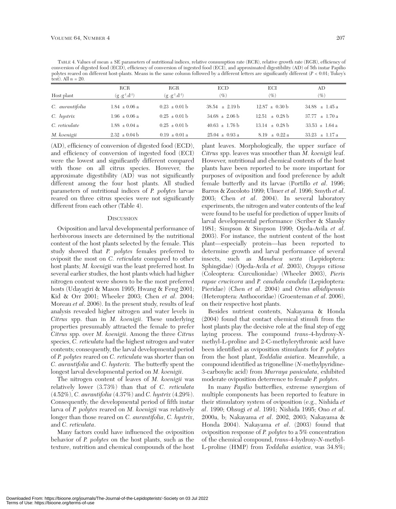TABLE 4. Values of mean ± SE parameters of nutritional indices, relative consumption rate (RCR), relative growth rate (RGR), efficiency of conversion of digested food (ECD), efficiency of conversion of ingested food (ECI), and approximated digestibility (AD) of 5th instar Papilio polytes reared on different host-plants. Means in the same column followed by a different letters are significantly different (*P* < 0.01; Tukey's test). All  $n = 20$ .

|                 | <b>RCR</b>          | RGR                 | <b>ECD</b>                 | ECI                        | AD                         |
|-----------------|---------------------|---------------------|----------------------------|----------------------------|----------------------------|
| Host plant      | $(g.g^{-1}.d^{-1})$ | $(g g^{-1}.d^{-1})$ | $(\%)$                     | $(\%)$                     | $(\%)$                     |
| C. aurantifolia | $1.84 \pm 0.06$ a   | $0.23 \pm 0.01$ b   | $38.54 \pm 2.19 \text{ b}$ | $12.87 \pm 0.30 \text{ b}$ | $34.88 \pm 1.45$ a         |
| $C.$ hystrix    | $1.96 \pm 0.06$ a   | $0.25 \pm 0.01$ b   | $34.68 \pm 2.06 \text{ b}$ | $12.51 \pm 0.28$ b         | $37.77 \pm 1.70 \text{ a}$ |
| C. reticulate   | $1.88 \pm 0.04$ a   | $0.25 \pm 0.01$ b   | $40.63 \pm 1.76 \text{ b}$ | $13.14 \pm 0.28 \text{ b}$ | $33.53 \pm 1.64$ a         |
| M. koenigii     | $2.32 \pm 0.04$ b   | $0.19 \pm 0.01$ a   | $25.04 \pm 0.93$ a         | $8.19 \pm 0.22 \text{ a}$  | $33.23 \pm 1.17$ a         |
|                 |                     |                     |                            |                            |                            |

(AD), efficiency of conversion of digested food (ECD), and efficiency of conversion of ingested food (ECI) were the lowest and significantly different compared with those on all citrus species. However, the approximate digestibility (AD) was not significantly different among the four host plants. All studied parameters of nutritional indices of *P. polytes* larvae reared on three citrus species were not significantly different from each other (Table 4).

## **DISCUSSION**

Oviposition and larval developmental performance of herbivorous insects are determined by the nutritional content of the host plants selected by the female. This study showed that *P. polytes* females preferred to oviposit the most on *C. reticulata* compared to other host plants; *M. koenigii* was the least preferred host. In several earlier studies, the host plants which had higher nitrogen content were shown to be the most preferred hosts (Udayagiri & Mason 1995; Hwang & Feng 2001; Kid & Orr 2001; Wheeler 2003; Chen *et al*. 2004; Moreau *et al*. 2006). In the present study, results of leaf analysis revealed higher nitrogen and water levels in *Citrus* spp. than in *M. koenigii*. These underlying properties presumably attracted the female to prefer *Citrus* spp. over *M. koenigii*. Among the three *Citrus* species, *C. reticulata* had the highest nitrogen and water contents; consequently, the larval developmental period of *P. polytes* reared on *C. reticulata* was shorter than on *C. aurantifolia* and *C. hysterix.* The butterfly spent the longest larval developmental period on *M. koenigii*.

The nitrogen content of leaves of *M. koenigii* was relatively lower (3.73%) than that of *C. reticulata* (4.52%), *C. aurantifolia* (4.37%) and *C. hystrix* (4.29%). Consequently, the developmental period of fifth instar larva of *P. polytes* reared on *M. koenigii* was relatively longer than those reared on *C. aurantifolia*, *C. hystrix*, and *C. reticulata*.

Many factors could have influenced the oviposition behavior of *P. polytes* on the host plants, such as the texture, nutrition and chemical compounds of the host plant leaves. Morphologically, the upper surface of *Citrus* spp. leaves was smoother than *M. koenigii* leaf. However, nutritional and chemical contents of the host plants have been reported to be more important for purposes of oviposition and food preference by adult female butterfly and its larvae (Portillo *et al*. 1996; Barros & Zucoloto 1999; Ulmer *et al*. 1996; Smyth *et al*. 2003; Chen *et al*. 2004). In several laboratory experiments, the nitrogen and water contents of the leaf were found to be useful for prediction of upper limits of larval developmental performance (Scriber & Slansky 1981; Simpson & Simpson 1990; Ojeda-Avila *et al*. 2003). For instance, the nutrient content of the host plant—especially protein—has been reported to determine growth and larval performance of several insects, such as *Manduca sexta* (Lepidoptera: Sphingidae) (Ojeda-Avila *et al*. 2003), *Oxyops vitiosa* (Coleoptera: Curculionidae) (Wheeler 2003), *Pieris rapae crucivora* and *P. candida candida* (Lepidoptera: Pieridae) (Chen *et al*. 2004) and *Orius albidipennis* (Heteroptera: Anthocoridae) (Groenteman *et al*. 2006), on their respective host plants.

Besides nutrient contents, Nakayama & Honda (2004) found that contact chemical stimuli from the host plants play the decisive role at the final step of egg laying process. The compound *trans*-4-hydroxy-*N*methyl-L-proline and 2-C-methylerythronic acid have been identified as oviposition stimulants for *P. polytes* from the host plant, *Toddalia asiatica*. Meanwhile, a compound identified as trigonelline (*N*-methylpyridine-3-carboxylic acid) from *Murraya paniculata*, exhibited moderate oviposition deterrence to female *P. polytes*.

In many *Papilio* butterflies, extreme synergism of multiple components has been reported to feature in their stimulatory system of oviposition (e.g., Nishida *et al*. 1990; Ohsugi *et al*. 1991; Nishida 1995; Ono *et al*. 2000a, b; Nakayama *et al*. 2002, 2003; Nakayama & Honda 2004). Nakayama *et al*. (2003) found that oviposition response of *P. polytes* to a 5% concentration of the chemical compound, *trans*-4-hydroxy-*N*-methyl-L-proline (HMP) from *Toddalia asiatica*, was 34.8%;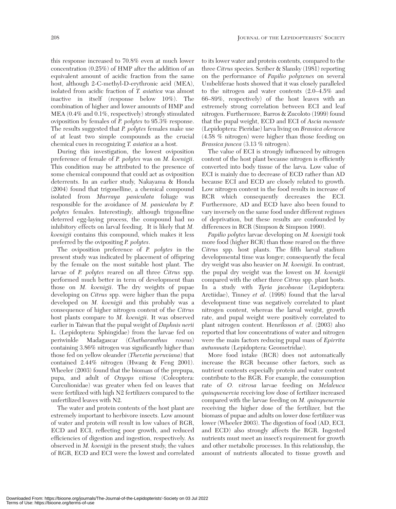this response increased to 70.8% even at much lower concentration (0.25%) of HMP after the addition of an equivalent amount of acidic fraction from the same host, although 2-C-methyl-D-erythronic acid (MEA), isolated from acidic fraction of *T. asiatica* was almost inactive in itself (response below 10%). The combination of higher and lower amounts of HMP and MEA (0.4% and 0.1%, respectively) strongly stimulated oviposition by females of *P. polytes* to 95.3% response. The results suggested that *P. polytes* females make use of at least two simple compounds as the crucial chemical cues in recognizing *T. asiatica* as a host.

During this investigation, the lowest oviposition preference of female of *P. polytes* was on *M. koenigii*. This condition may be attributed to the presence of some chemical compound that could act as oviposition deterrents. In an earlier study, Nakayama & Honda (2004) found that trigonelline, a chemical compound isolated from *Murraya paniculata* foliage was responsible for the avoidance of *M. paniculata* by *P. polytes* females. Interestingly, although trigonelline deterred egg-laying process, the compound had no inhibitory effects on larval feeding. It is likely that *M. koenigii* contains this compound, which makes it less preferred by the ovipositing *P. polytes*.

The oviposition preference of *P. polytes* in the present study was indicated by placement of offspring by the female on the most suitable host plant. The larvae of *P. polytes* reared on all three *Citrus* spp. performed much better in term of development than those on *M. koenigii*. The dry weights of pupae developing on *Citrus* spp. were higher than the pupa developed on *M. koenigii* and this probably was a consequence of higher nitrogen content of the *Citrus* host plants compare to *M. koenigii*. It was observed earlier in Taiwan that the pupal weight of *Daphnis nerii* L. (Lepidoptera: Sphingidae) from the larvae fed on periwinkle Madagascar (*Chatharanthus roseus*) containing 3.86% nitrogen was significantly higher than those fed on yellow oleander (*Thevetia peruviana*) that contained 2.44% nitrogen (Hwang & Feng 2001). Wheeler (2003) found that the biomass of the prepupa, pupa, and adult of *Oxyops vitiosa* (Coleoptera: Curculionidae) was greater when fed on leaves that were fertilized with high N2 fertilizers compared to the unfertilized leaves with N2.

The water and protein contents of the host plant are extremely important to herbivore insects. Low amount of water and protein will result in low values of RGR, ECD and ECI, reflecting poor growth, and reduced efficiencies of digestion and ingestion, respectively. As observed in *M. koenigii* in the present study, the values of RGR, ECD and ECI were the lowest and correlated

to its lower water and protein contents, compared to the three *Citrus* species. Scriber & Slansky (1981) reporting on the performance of *Papilio polyxenes* on several Umbeliferae hosts showed that it was closely paralleled to the nitrogen and water contents (2.0–4.5% and 66–89%, respectively) of the host leaves with an extremely strong correlation between ECI and leaf nitrogen. Furthermore, Barros & Zucoloto (1999) found that the pupal weight, ECD and ECI of *Ascia monuste* (Lepidoptera: Pieridae) larva living on *Brassica oleracea* (4.58 % nitrogen) were higher than those feeding on *Brassica juncea* (3.13 % nitrogen).

The value of ECI is strongly influenced by nitrogen content of the host plant because nitrogen is efficiently converted into body tissue of the larva. Low value of ECI is mainly due to decrease of ECD rather than AD because ECI and ECD are closely related to growth. Low nitrogen content in the food results in increase of RCR which consequently decreases the ECI. Furthermore, AD and ECD have also been found to vary inversely on the same food under different regimes of deprivation, but these results are confounded by differences in RCR (Simpson & Simpson 1990).

*Papilio polytes* larvae developing on *M. koenigii* took more food (higher RCR) than those reared on the three *Citrus* spp. host plants. The fifth larval stadium developmental time was longer; consequently the fecal dry weight was also heavier on *M. koenigii*. In contrast, the pupal dry weight was the lowest on *M. koenigii* compared with the other three *Citrus* spp. plant hosts. In a study with *Tyria jacobaeae* (Lepidoptera: Arctiidae), Tinney *et al*. (1998) found that the larval development time was negatively correlated to plant nitrogen content, whereas the larval weight, growth rate, and pupal weight were positively correlated to plant nitrogen content. Henriksson *et al*. (2003) also reported that low concentrations of water and nitrogen were the main factors reducing pupal mass of *Epirrita autumnata* (Lepidoptera: Geometridae).

More food intake (RCR) does not automatically increase the RGR because other factors, such as nutrient contents especially protein and water content contribute to the RGR. For example, the consumption rate of *O. vitrosa* larvae feeding on *Melaleuca quinquenervia* receiving low dose of fertilizer increased compared with the larvae feeding on *M. quinquenervia* receiving the higher dose of the fertilizer, but the biomass of pupae and adults on lower dose fertilizer was lower (Wheeler 2003). The digestion of food (AD, ECI, and ECD) also strongly affects the RGR. Ingested nutrients must meet an insect's requirement for growth and other metabolic processes. In this relationship, the amount of nutrients allocated to tissue growth and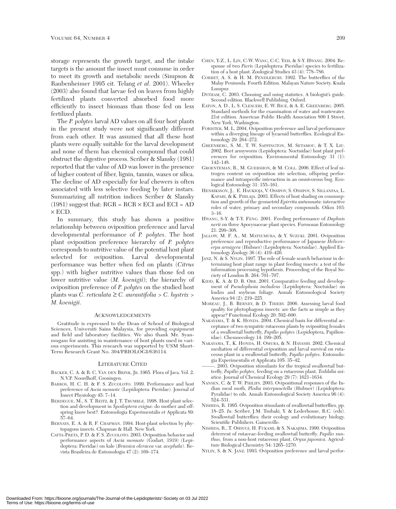storage represents the growth target, and the intake targets is the amount the insect must consume in order to meet its growth and metabolic needs (Simpson & Raubenheimer 1995 cit. Telang *et al*. 2001). Wheeler (2003) also found that larvae fed on leaves from highly fertilized plants converted absorbed food more efficiently to insect biomass than those fed on less fertilized plants.

The *P. polytes* larval AD values on all four host plants in the present study were not significantly different from each other. It was assumed that all these host plants were equally suitable for the larval development and none of them has chemical compound that could obstruct the digestive process. Scriber & Slansky (1981) reported that the value of AD was lower in the presence of higher content of fiber, lignin, tannin, waxes or silica. The decline of AD especially for leaf chewers is often associated with less selective feeding by later instars. Summarizing all nutrition indices Scriber & Slansky  $(1981)$  suggest that: RGR = RCR  $\times$  ECI and ECI = AD  $\times$  ECD.

In summary, this study has shown a positive relationship between oviposition preference and larval developmental performance of *P. polytes*. The host plant oviposition preference hierarchy of *P. polytes* corresponds to nutritive value of the potential host plant selected for oviposition. Larval developmental performance was better when fed on plants (*Citrus* spp.) with higher nutritive values than those fed on lower nutritive value (*M. koenigii*); the hierarchy of oviposition preference of *P. polytes* on the studied host plants was *C. reticulata* ≥ *C. aurantifolia* > *C. hystrix* > *M. koenigii*.

## ACKNOWLEDGEMENTS

Gratitude is expressed to the Dean of School of Biological Sciences, Universiti Sains Malaysia, for providing equipment and field and laboratory facilities. We also thank Mr. Syanmugam for assisting in maintenance of host plants used in various experiments. This research was supported by USM Short-Term Research Grant No. 304/PBIOLOGI/636114.

### LITERATURE CITED

- BACKER, C. A. & R. C. VAN DEN BRINK, JR. 1965. Flora of Java. Vol. 2. N.V.P. Noordhoff, Groningen.
- BARROS, H. C. H. & F. S. ZUCOLOTO. 1999. Performance and host preference of *Ascia monuste* (Lepidoptera: Pieridae). Journal of Insect Physiology 45: 7–14.
- BERDEGUE, M., S. T. REITZ, & J. T. TRUMBLE. 1998. Host plant selection and development in *Spodoptera exigua*: do mother and offspring know best?. Entomologia Experimentalis et Applicata 89: 57–64.
- BERNAYS, E. A. & R. F. CHAPMAN. 1994. Host-plant selection by phytopagous insects. Chapman & Hall. New York.
- CATTA-PRETA, P. D. & F. S. ZUCOLOTO. 2003. Oviposition behavior and performance aspects of *Ascia monuste* (Godart, 1919) (Lepidoptera: Pieridae) on kale (*Brassica oleracea* var. *acephala*). Revista Brasileira de Entomologia 47 (2): 169–174.
- CHEN, Y-Z., L. LIN, C-W. WANG, C-C. YEH, & S-Y. HWANG. 2004. Response of two *Pieris* (Lepidoptera: Pieridae) species to fertilization of a host plant. Zoological Studies 43 (4): 778–786.
- CORBET, A. S. & H. M. PENDLEBURY. 1992. The butterflies of the Malay Peninsula. Fourth Edition. Malayan Nature Society. Kuala Lumpur.
- DYTHAM, C. 2003. Choosing and using statistics. A biologist's guide. Second edition. Blackwell Publishing. Oxford.
- EATON, A. D., L. S. CLESCERI, E. W. RICE, & A. E. GREENBERG. 2005. Standard methods for the examination of water and wastewater. 21st edition. American Public Health Association 800 I Street, New York, Washington.
- FORISTER, M. L. 2004. Oviposition preference and larval performance within a diverging lineage of lycaenid butterflies. Ecological Entomology 29: 264–272.
- GREENBERG, S. M., T. W. SAPPINGTON, M. SETAMOU, & T. X. LIU. 2002. Beet armyworm (Lepidoptera: Noctuidae) host plant preferences for oviposition. Environmental Entomology 31 (1): 142–148.
- GROENTEMAN, R., M. GUERSHON, & M. COLL. 2006. Effect of leaf nitrogen content on oviposition site selection, offspring performance and intraspecific interaction in an omnivorous bug. Ecological Entomology 31: 155–161.
- HENRIKSSON, J., E. HAUKIOJA, V. OSSIPOV, S. OSSIPOV, S. SILLANPAA, L. KAPARI, & K. PIHLAJA. 2003. Effects of host shading on consumption and growth of the geometrid *Epirrita autumnata*: interactive roles of water, primary and secondary compounds. Oikos 103: 3–16.
- HWANG, S-Y. & T-Y. FENG. 2001. Feeding performance of *Daphnis nerii* on three Apocynaceae plant species. Formosan Entomology 21: 299–308.
- JALLOW, M. F. A., M. MATSUMURA, & Y. SUZUKI. 2001. Oviposition preference and reproductive performance of Japanese *Helicoverpa armigera* (Hubner) (Lepidoptera: Noctuidae). Applied Entomology Zoology 36 (4): 419–426.
- JANZ, N. & S. NYLIN. 1997. The role of female search behaviour in determining host plant range in plant feeding insects: a test of the information processing hypothesis. Proceeding of the Royal Society of London B. 264: 701–707.
- KIDD, K. A. & D. B. ORR. 2001. Comparative feeding and development of *Pseudoplusia includens* (Lepidoptera: Noctuidae) on kudzu and soybean foliage. Annals Entomological Society America 94 (2): 219–225.
- MOREAU, J., B. BERNEY, & D. THIERY. 2006. Assessing larval food quality for phytophagous insects: are the facts as simple as they appear? Functional Ecology 20: 592–600.
- NAKAYAMA, T. & K. HONDA. 2004. Chemical basis for differential acceptance of two sympatric rutaceous plants by ovipositing females of a swallowtail butterfly, *Papilio polytes* (Lepidoptera, Papilionidae). Chemoecology 14: 199–205.
- NAKAYAMA, T., K. HONDA, H. OMURA, & N. HAYASHI. 2002. Chemical mediation of differential oviposition and larval survival on rutaceous plant in a swallowtail butterfly, *Papilio polytes*. Entomologia Experimentalis et Applicata 105: 35–42.
- 2003. Oviposition stimulants for the tropical swallowtail butterfly, *Papilio polytes*, feeding on a rutaceous plant, *Toddalia asiatica*. Journal of Chemical Ecology 29 (7): 1621–1634.
- NANSEN, C. & T. W. PHILIPS. 2003. Ovipositional responses of the Indian meal moth, *Plodia interpunctella* (Hubner) (Lepidoptera: Pyralidae) to oils. Annals Entomological Society America 96 (4): 524–531.
- NISHIDA, R. 1995. Oviposition stimulants of swallowtail butterflies, pp. 18–25. *In:* Scriber, J.M. Tsubaki, Y. & Lederhouse, R.C. (eds). Swallowtail butterflies: their ecology and evolutionary biology. Scientific Publishers. Gainesville.
- NISHIDA, R., T. OHSUGI, H. FUKAMI, & S. NAKAJIMA. 1990. Oviposition deterrent of rutaceae-feeding swallowtail butterfly, *Papilio xunthus*, from a non-host rutaceous plant, *Oryxa japonica*. Agriculture Biological Chemistry 54: 1265–1270.
- NYLIN, S. & N. JANZ. 1993. Oviposition preference and larval perfor-